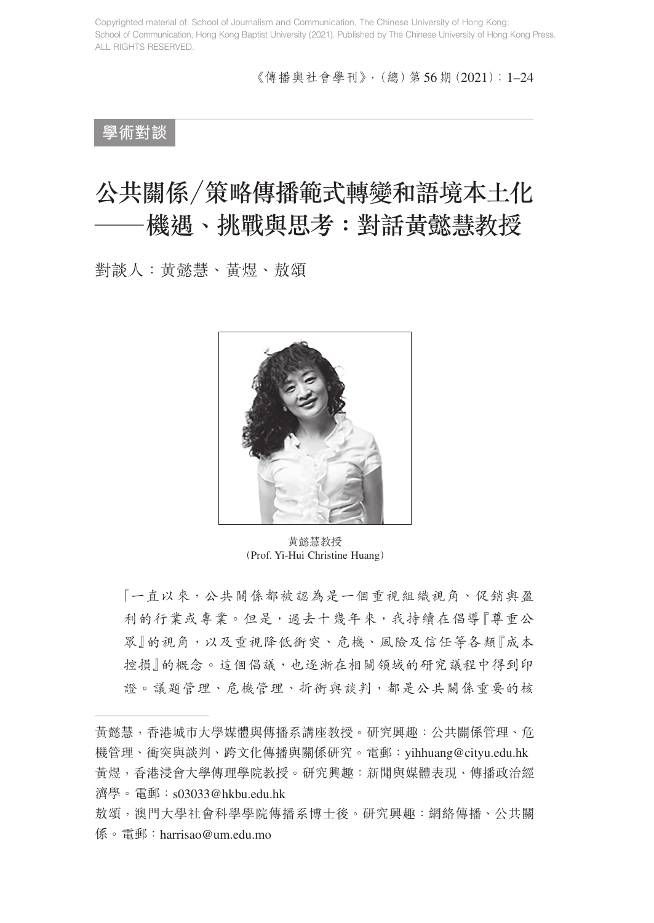《傳播與社會學刊》,(總)第56期(2021):1–24

## **學術對談**

# 公共關係/策略傳播範式轉變和語境本土化 機遇、挑戰與思考:對話黃懿慧教授

對談人:黄懿慧、黃煜、敖頌



黄懿慧教授 (Prof. Yi-Hui Christine Huang)

「一直以來,公共關係都被認為是一個重視組織視角、促銷與盈 利的行業或專業。但是,過去十幾年來,我持續在倡導『尊重公 眾』的視角,以及重視降低衝突、危機、風險及信任等各類『成本 控損』的概念。這個倡議,也逐漸在相關領域的研究議程中得到印 證。議題管理、危機管理、折衝與談判,都是公共關係重要的核

黃懿慧,香港城市大學媒體與傳播系講座教授。研究興趣:公共關係管理、危 機管理、衝突與談判、跨文化傳播與關係研究。電郵:yihhuang@cityu.edu.hk 黃煜,香港浸會大學傳理學院教授。研究興趣:新聞與媒體表現、傳播政治經 濟學。電郵:s03033@hkbu.edu.hk

敖頌,澳門大學社會科學學院傳播系博士後。研究興趣:網絡傳播、公共關 係。電郵:harrisao@um.edu.mo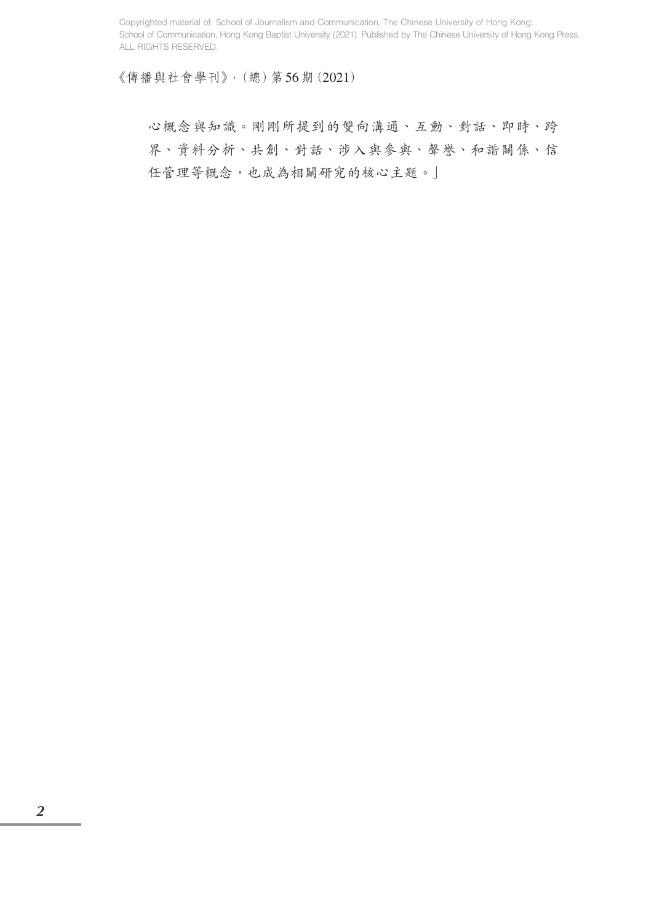《傳播與社會學刊》,(總)第56期(2021)

心概念與知識。剛剛所提到的雙向溝通、互動、對話、即時、跨 界、資料分析、共創、對話、涉入與參與、聲譽、和諧關係、信 任管理等概念,也成為相關研究的核心主題。」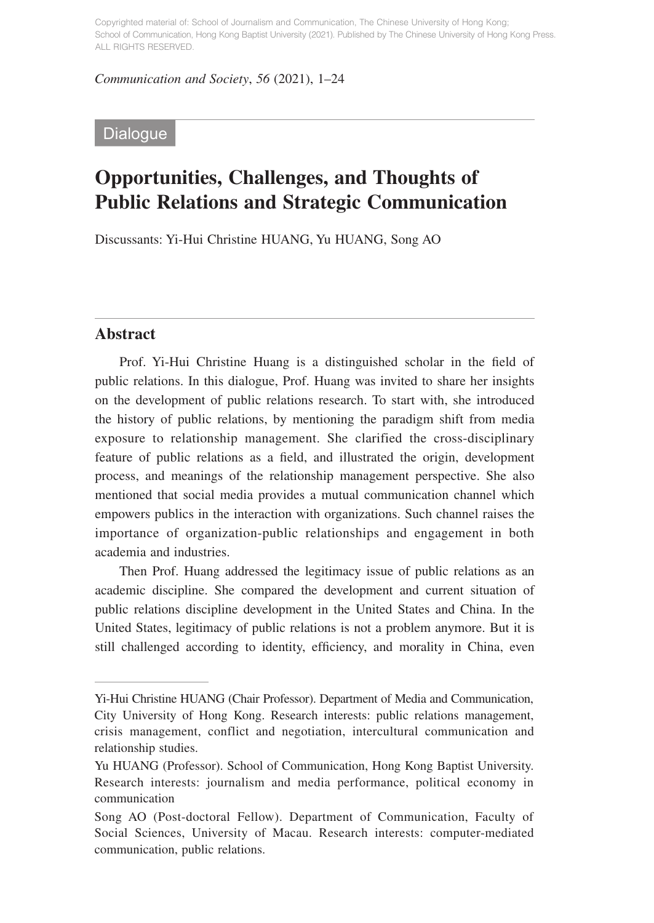*Communication and Society*, *56* (2021), 1–24

### **Dialogue**

## **Opportunities, Challenges, and Thoughts of Public Relations and Strategic Communication**

Discussants: Yi-Hui Christine HUANG, Yu HUANG, Song AO

#### **Abstract**

Prof. Yi-Hui Christine Huang is a distinguished scholar in the field of public relations. In this dialogue, Prof. Huang was invited to share her insights on the development of public relations research. To start with, she introduced the history of public relations, by mentioning the paradigm shift from media exposure to relationship management. She clarified the cross-disciplinary feature of public relations as a field, and illustrated the origin, development process, and meanings of the relationship management perspective. She also mentioned that social media provides a mutual communication channel which empowers publics in the interaction with organizations. Such channel raises the importance of organization-public relationships and engagement in both academia and industries.

Then Prof. Huang addressed the legitimacy issue of public relations as an academic discipline. She compared the development and current situation of public relations discipline development in the United States and China. In the United States, legitimacy of public relations is not a problem anymore. But it is still challenged according to identity, efficiency, and morality in China, even

Yi-Hui Christine HUANG (Chair Professor). Department of Media and Communication, City University of Hong Kong. Research interests: public relations management, crisis management, conflict and negotiation, intercultural communication and relationship studies.

Yu HUANG (Professor). School of Communication, Hong Kong Baptist University. Research interests: journalism and media performance, political economy in communication

Song AO (Post-doctoral Fellow). Department of Communication, Faculty of Social Sciences, University of Macau. Research interests: computer-mediated communication, public relations.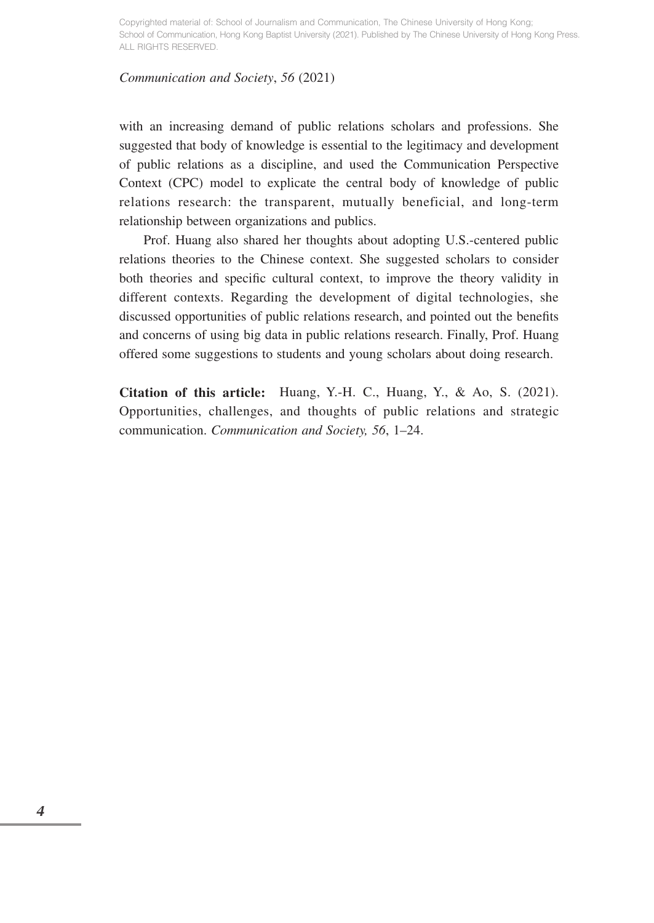#### *Communication and Society*, *56* (2021)

with an increasing demand of public relations scholars and professions. She suggested that body of knowledge is essential to the legitimacy and development of public relations as a discipline, and used the Communication Perspective Context (CPC) model to explicate the central body of knowledge of public relations research: the transparent, mutually beneficial, and long-term relationship between organizations and publics.

Prof. Huang also shared her thoughts about adopting U.S.-centered public relations theories to the Chinese context. She suggested scholars to consider both theories and specific cultural context, to improve the theory validity in different contexts. Regarding the development of digital technologies, she discussed opportunities of public relations research, and pointed out the benefits and concerns of using big data in public relations research. Finally, Prof. Huang offered some suggestions to students and young scholars about doing research.

**Citation of this article:** Huang, Y.-H. C., Huang, Y., & Ao, S. (2021). Opportunities, challenges, and thoughts of public relations and strategic communication. *Communication and Society, 56*, 1–24.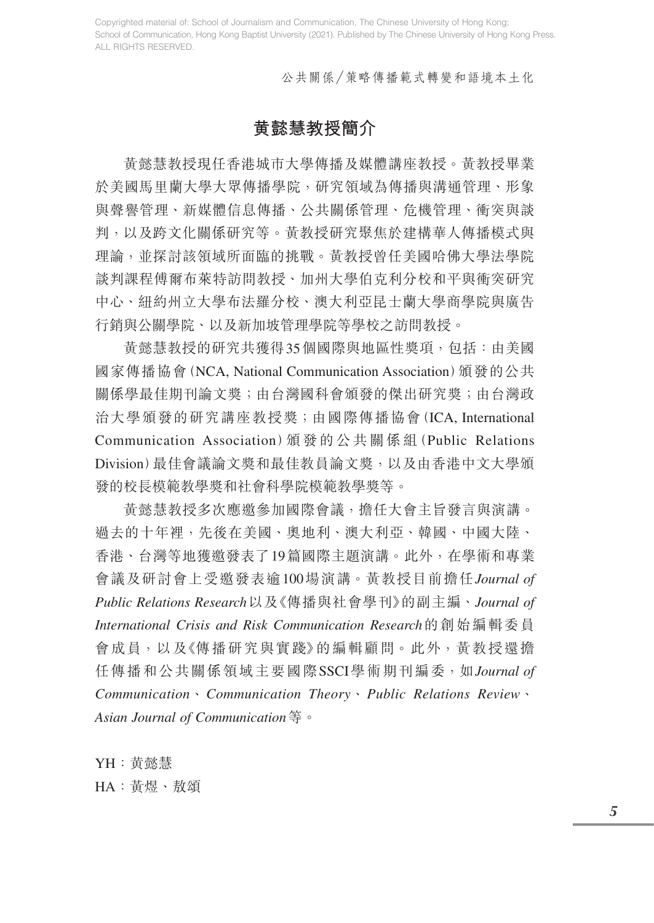公共關係/策略傳播範式轉變和語境本土化

## **黄懿慧教授簡介**

黃懿慧教授現任香港城市大學傳播及媒體講座教授。黃教授畢業 於美國馬里蘭大學大眾傳播學院,研究領域為傳播與溝通管理、形象 與聲譽管理、新媒體信息傳播、公共關係管理、危機管理、衝突與談 判,以及跨文化關係研究等。黃教授研究聚焦於建構華人傳播模式與 理論,並探討該領域所面臨的挑戰。黃教授曾任美國哈佛大學法學院 談判課程傅爾布萊特訪問教授、加州大學伯克利分校和平與衝突研究 中心、紐約州立大學布法羅分校、澳大利亞昆士蘭大學商學院與廣告 行銷與公關學院、以及新加坡管理學院等學校之訪問教授。

黃懿慧教授的研究共獲得35個國際與地區性獎項,包括:由美國 國家傳播協會(NCA, National Communication Association)頒發的公共 關係學最佳期刊論文獎;由台灣國科會頒發的傑出研究獎;由台灣政 治大學頒發的研究講座教授獎;由國際傳播協會(ICA, International Communication Association)頒 發 的 公 共 關 係 組(Public Relations Division)最佳會議論文獎和最佳教員論文獎,以及由香港中文大學頒 發的校長模範教學獎和社會科學院模範教學獎等。

黃懿慧教授多次應邀參加國際會議,擔任大會主旨發言與演講。 過去的十年裡,先後在美國、奧地利、澳大利亞、韓國、中國大陸、 香港、台灣等地獲邀發表了19篇國際主題演講。此外,在學術和專業 會議及研討會上受邀發表逾100場演講。黃教授目前擔任*Journal of Public Relations Research*以及《傳播與社會學刊》的副主編、*Journal of International Crisis and Risk Communication Research*的創始編輯委員 會成員,以及《傳播研究與實踐》的編輯顧問。此外,黃教授還擔 任傳播和公共關係領域主要國際SSCI學術期刊編委,如*Journal of Communication*、*Communication Theory*、*Public Relations Review*、 *Asian Journal of Communication*等。

YH:黄懿慧 HA:黃煜、敖頌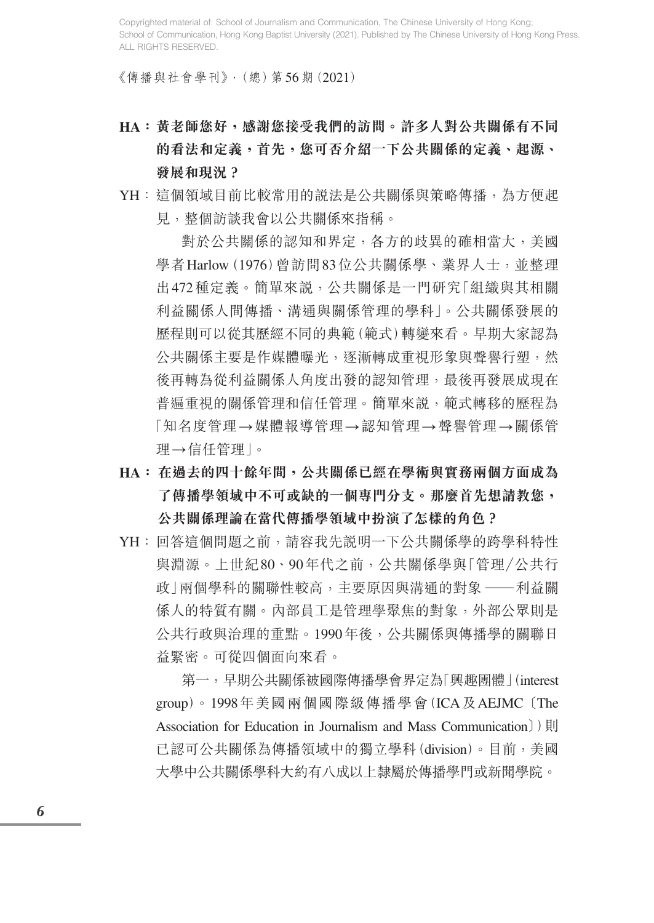《傳播與社會學刊》,(總)第56期(2021)

- **HA:黃老師您好,感謝您接受我們的訪問。許多人對公共關係有不同 的看法和定義,首先,您可否介紹一下公共關係的定義、起源、 發展和現況?**
- YH:這個領域目前比較常用的說法是公共關係與策略傳播,為方便起 見,整個訪談我會以公共關係來指稱。

 對於公共關係的認知和界定,各方的歧異的確相當大,美國 學者 Harlow (1976) 曾訪問83位公共關係學、業界人士, 並整理 出472種定義。簡單來說,公共關係是一門研究「組織與其相關 利益關係人間傳播、溝通與關係管理的學科」。公共關係發展的 歷程則可以從其歷經不同的典範(範式)轉變來看。早期大家認為 公共關係主要是作媒體曝光,逐漸轉成重視形象與聲譽行塑,然 後再轉為從利益關係人角度出發的認知管理,最後再發展成現在 普遍重視的關係管理和信任管理。簡單來說,範式轉移的歷程為 「知名度管理→媒體報導管理→認知管理→聲譽管理→關係管 理→信任管理」。

- **HA: 在過去的四十餘年間,公共關係已經在學術與實務兩個方面成為 了傳播學領域中不可或缺的一個專門分支。那麼首先想請教您, 公共關係理論在當代傳播學領域中扮演了怎樣的角色?**
- YH:回答這個問題之前,請容我先説明一下公共關係學的跨學科特性 與淵源。上世紀80、90年代之前,公共關係學與「管理/公共行 政 | 兩個學科的關聯性較高, 主要原因與溝通的對象 —— 利益關 係人的特質有關。內部員工是管理學聚焦的對象,外部公眾則是 公共行政與治理的重點。1990年後,公共關係與傳播學的關聯日 益緊密。可從四個面向來看。

 第一,早期公共關係被國際傳播學會界定為「興趣團體」(interest group)。1998年美國兩個國際級傳播學會(ICA及AEJMC 〔The Association for Education in Journalism and Mass Communication〕〕則 已認可公共關係為傳播領域中的獨立學科(division)。目前,美國 大學中公共關係學科大約有八成以上隸屬於傳播學門或新聞學院。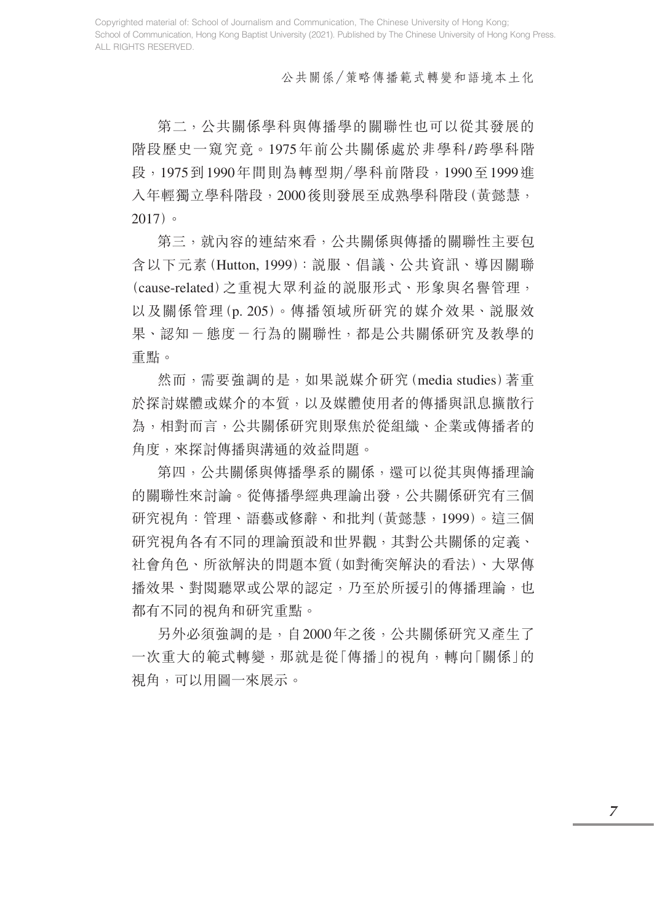#### 公共關係/策略傳播範式轉變和語境本土化

 第二,公共關係學科與傳播學的關聯性也可以從其發展的 階段歷史一窺究竟。1975年前公共關係處於非學科/跨學科階 段,1975到1990年間則為轉型期/學科前階段,1990至1999進 入年輕獨立學科階段,2000後則發展至成熟學科階段(黃懿慧, 2017)。

 第三,就內容的連結來看,公共關係與傳播的關聯性主要包 含以下元素(Hutton, 1999):說服、倡議、公共資訊、導因關聯 (cause-related)之重視大眾利益的說服形式、形象與名譽管理, 以及關係管理(p. 205)。傳播領域所研究的媒介效果、說服效 果、認知-態度-行為的關聯性,都是公共關係研究及教學的 重點。

 然而,需要強調的是,如果說媒介研究(media studies)著重 於探討媒體或媒介的本質,以及媒體使用者的傳播與訊息擴散行 為,相對而言,公共關係研究則聚焦於從組織、企業或傳播者的 角度,來探討傳播與溝通的效益問題。

 第四,公共關係與傳播學系的關係,還可以從其與傳播理論 的關聯性來討論。從傳播學經典理論出發,公共關係研究有三個 研究視角:管理、語藝或修辭、和批判(黃懿慧,1999)。這三個 研究視角各有不同的理論預設和世界觀,其對公共關係的定義、 社會角色、所欲解決的問題本質(如對衝突解決的看法)、大眾傳 播效果、對閱聽眾或公眾的認定,乃至於所援引的傳播理論,也 都有不同的視角和研究重點。

另外必須強調的是,自2000年之後,公共關係研究又產生了 一次重大的範式轉變,那就是從「傳播」的視角,轉向「關係」的 視角,可以用圖一來展示。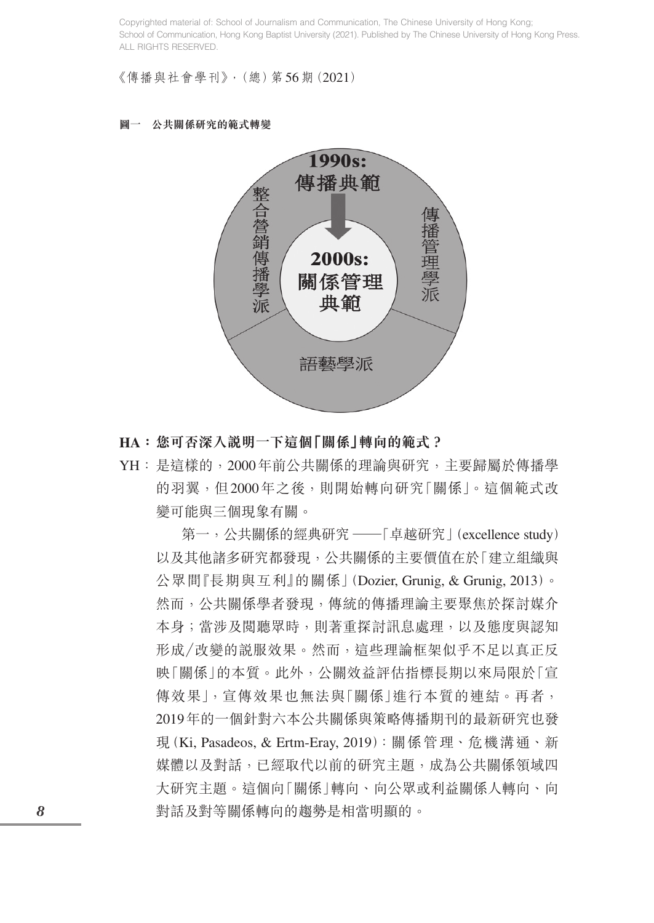《傳播與社會學刊》,(總)第56期(2021)





- **HA:您可否深入說明一下這個「關係」轉向的範式?**
- YH:是這樣的,2000年前公共關係的理論與研究,主要歸屬於傳播學 的羽翼,但2000年之後,則開始轉向研究「關係」。這個範式改 變可能與三個現象有關。

第一,公共關係的經典研究 ——「卓越研究」(excellence study) 以及其他諸多研究都發現,公共關係的主要價值在於「建立組織與 公眾間『長期與互利』的關係」(Dozier, Grunig, & Grunig, 2013)。 然而,公共關係學者發現,傳統的傳播理論主要聚焦於探討媒介 本身;當涉及閱聽眾時,則著重探討訊息處理,以及態度與認知 形成/改變的說服效果。然而,這些理論框架似乎不足以真正反 映「關係」的本質。此外,公關效益評估指標長期以來局限於「宣 傳效果|, 宣傳效果也無法與「關係| 谁行本質的連結。再者, 2019年的一個針對六本公共關係與策略傳播期刊的最新研究也發 現(Ki, Pasadeos, & Ertm-Eray, 2019):關係管理、危機溝通、新 媒體以及對話,已經取代以前的研究主題,成為公共關係領域四 大研究主題。這個向「關係」轉向、向公眾或利益關係人轉向、向 對話及對等關係轉向的趨勢是相當明顯的。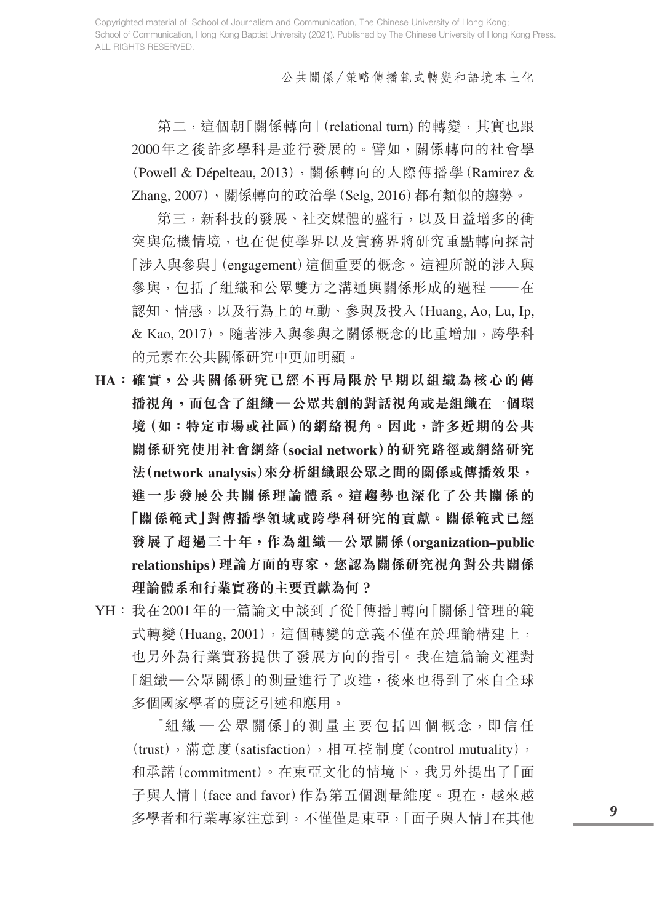公共關係/策略傳播範式轉變和語境本土化

第二,這個朝「關係轉向」(relational turn) 的轉變,其實也跟 2000年之後許多學科是並行發展的。譬如,關係轉向的社會學 (Powell & Dépelteau, 2013),關係轉向的人際傳播學 (Ramirez & Zhang, 2007),關係轉向的政治學(Selg, 2016)都有類似的趨勢。

 第三,新科技的發展、社交媒體的盛行,以及日益增多的衝 突與危機情境,也在促使學界以及實務界將研究重點轉向探討 「涉入與參與」(engagement)這個重要的概念。這裡所說的涉入與 參與,包括了組織和公眾雙方之溝通與關係形成的過程 ——在 認知、情感,以及行為上的互動、參與及投入(Huang, Ao, Lu, Ip, & Kao, 2017)。隨著涉入與參與之關係概念的比重增加,跨學科 的元素在公共關係研究中更加明顯。

- **HA:確實,公共關係研究已經不再局限於早期以組織為核心的傳 播視角,而包含了組織—公眾共創的對話視角或是組織在一個環 境(如:特定市場或社區)的網絡視角。因此,許多近期的公共 關係研究使用社會網絡(social network)的研究路徑或網絡研究 法(network analysis)來分析組織跟公眾之間的關係或傳播效果, 進一步發展公共關係理論體系。這趨勢也深化了公共關係的 「關係範式」對傳播學領域或跨學科研究的貢獻。關係範式已經 發展了超過三十年,作為組織—公眾關係(organization–public relationships)理論方面的專家,您認為關係研究視角對公共關係 理論體系和行業實務的主要貢獻為何?**
- YH:我在2001年的一篇論文中談到了從「傳播」轉向「關係」管理的範 式轉變(Huang, 2001),這個轉變的意義不僅在於理論構建上, 也另外為行業實務提供了發展方向的指引。我在這篇論文裡對 「組織—公眾關係」的測量進行了改進,後來也得到了來自全球 多個國家學者的廣泛引述和應用。

 「組織 — 公眾關係」的測量主要包括四個概念,即信任 (trust),滿意度(satisfaction),相互控制度(control mutuality), 和承諾(commitment)。在東亞文化的情境下,我另外提出了「面 子與人情 | (face and favor)作為第五個測量維度。現在,越來越 多學者和行業專家注意到,不僅僅是東亞,「面子與人情」在其他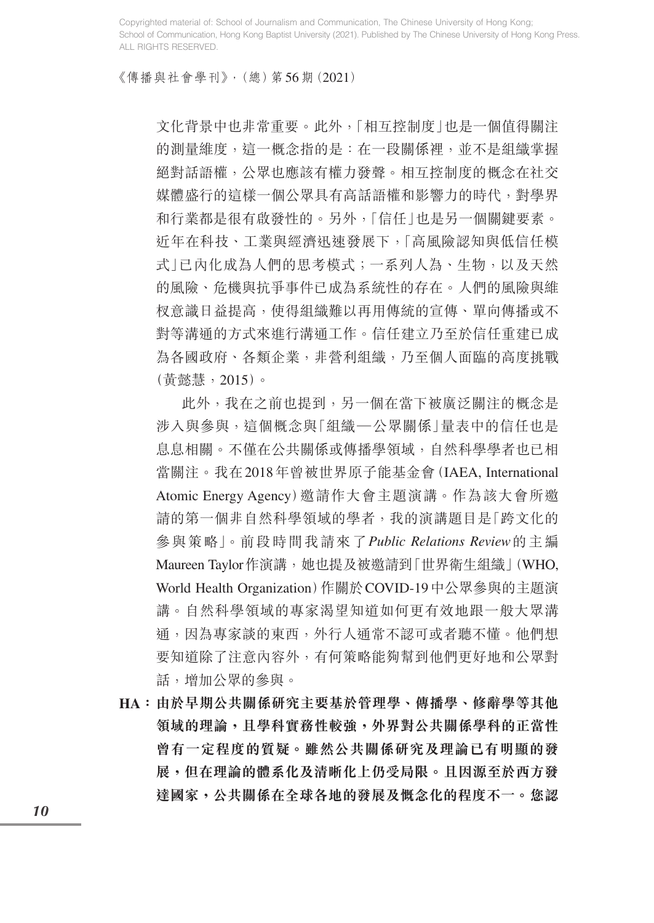《傳播與社會學刊》,(總)第56期(2021)

文化背景中也非常重要。此外,「相互控制度」也是一個值得關注 的測量維度,這一概念指的是:在一段關係裡,並不是組織掌握 絕對話語權,公眾也應該有權力發聲。相互控制度的概念在社交 媒體盛行的這樣一個公眾具有高話語權和影響力的時代,對學界 和行業都是很有啟發性的。另外,「信任」也是另一個關鍵要素。 近年在科技、工業與經濟迅速發展下,「高風險認知與低信任模 式」已內化成為人們的思考模式;一系列人為、生物,以及天然 的風險、危機與抗爭事件已成為系統性的存在。人們的風險與維 杈意識日益提高,使得組織難以再用傳統的宣傳、單向傳播或不 對等溝通的方式來進行溝通工作。信任建立乃至於信任重建已成 為各國政府、各類企業,非營利組織,乃至個人面臨的高度挑戰 (黃懿慧,2015)。

 此外,我在之前也提到,另一個在當下被廣泛關注的概念是 涉入與參與,這個概念與「組織—公眾關係」量表中的信任也是 息息相關。不僅在公共關係或傳播學領域,自然科學學者也已相 當關注。我在2018年曾被世界原子能基金會(IAEA, International Atomic Energy Agency)邀請作大會主題演講。作為該大會所邀 請的第一個非自然科學領域的學者,我的演講題目是「跨文化的 參與策略」。前段時間我請來了*Public Relations Review*的主編 Maureen Taylor作演講,她也提及被邀請到「世界衛生組織」(WHO, World Health Organization)作關於COVID-19中公眾參與的主題演 講。自然科學領域的專家渴望知道如何更有效地跟一般大眾溝 通,因為專家談的東西,外行人通常不認可或者聽不懂。他們想 要知道除了注意內容外,有何策略能夠幫到他們更好地和公眾對 話,增加公眾的參與。

**HA:由於早期公共關係研究主要基於管理學、傳播學、修辭學等其他 領域的理論,且學科實務性較強,外界對公共關係學科的正當性 曾有一定程度的質疑。雖然公共關係研究及理論已有明顯的發 展,但在理論的體系化及清晰化上仍受局限。且因源至於西方發 達國家,公共關係在全球各地的發展及慨念化的程度不一。您認**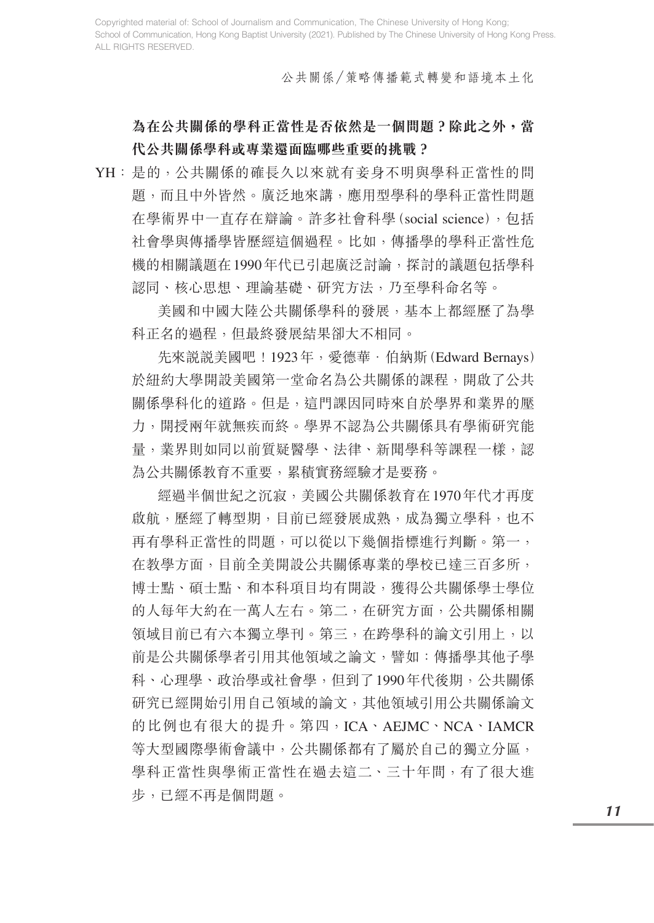公共關係/策略傳播範式轉變和語境本土化

## **為在公共關係的學科正當性是否依然是一個問題?除此之外,當 代公共關係學科或專業還面臨哪些重要的挑戰?**

YH:是的,公共關係的確長久以來就有妾身不明與學科正當性的問 題,而且中外皆然。廣泛地來講,應用型學科的學科正當性問題 在學術界中一直存在辯論。許多社會科學(social science),包括 社會學與傳播學皆歷經這個過程。比如,傳播學的學科正當性危 機的相關議題在1990年代已引起廣泛討論,探討的議題包括學科 認同、核心思想、理論基礎、研究方法,乃至學科命名等。

 美國和中國大陸公共關係學科的發展,基本上都經歷了為學 科正名的過程,但最終發展結果卻大不相同。

先來説説美國吧! 1923年,愛德華·伯納斯 (Edward Bernays) 於紐約大學開設美國第一堂命名為公共關係的課程,開啟了公共 關係學科化的道路。但是,這門課因同時來自於學界和業界的壓 力,開授兩年就無疾而終。學界不認為公共關係具有學術研究能 量,業界則如同以前質疑醫學、法律、新聞學科等課程一樣,認 為公共關係教育不重要,累積實務經驗才是要務。

 經過半個世紀之沉寂,美國公共關係教育在1970年代才再度 啟航,歷經了轉型期,目前已經發展成熟,成為獨立學科,也不 再有學科正當性的問題,可以從以下幾個指標進行判斷。第一, 在教學方面,目前全美開設公共關係專業的學校已達三百多所, 博士點、碩士點、和本科項目均有開設,獲得公共關係學士學位 的人每年大約在一萬人左右。第二,在研究方面,公共關係相關 領域目前已有六本獨立學刊。第三,在跨學科的論文引用上,以 前是公共關係學者引用其他領域之論文,譬如:傳播學其他子學 科、心理學、政治學或社會學,但到了1990年代後期,公共關係 研究已經開始引用自己領域的論文,其他領域引用公共關係論文 的比例也有很大的提升。第四,ICA、AEJMC、NCA、IAMCR 等大型國際學術會議中,公共關係都有了屬於自己的獨立分區, 學科正當性與學術正當性在過去這二、三十年間,有了很大進 步,已經不再是個問題。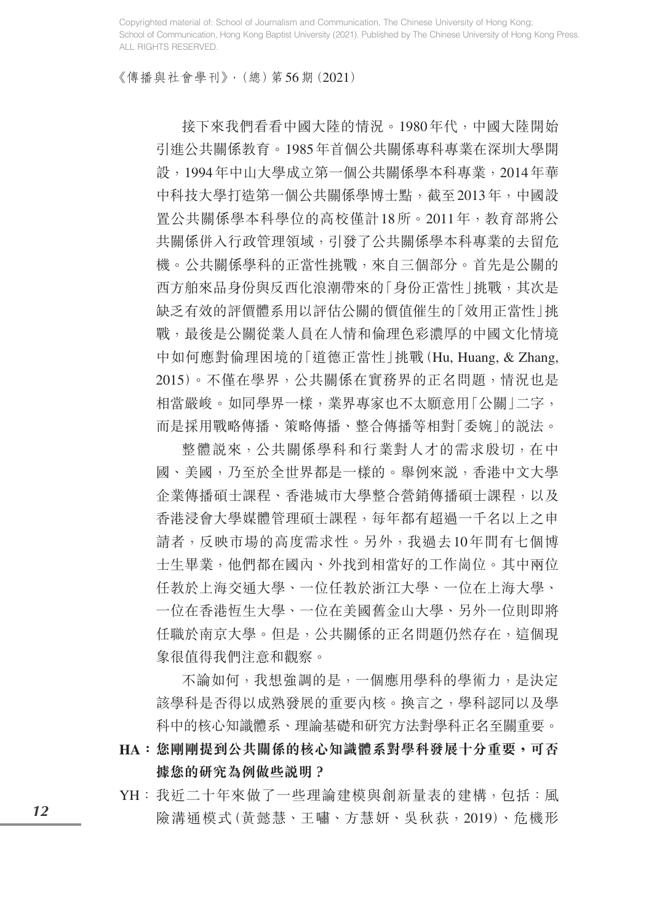《傳播與社會學刊》,(總)第56期(2021)

 接下來我們看看中國大陸的情況。1980年代,中國大陸開始 引進公共關係教育。1985年首個公共關係專科專業在深圳大學開 設,1994年中山大學成立第一個公共關係學本科專業,2014年華 中科技大學打造第一個公共關係學博士點,截至2013年,中國設 置公共關係學本科學位的高校僅計18所。2011年,教育部將公 共關係併入行政管理領域,引發了公共關係學本科專業的去留危 機。公共關係學科的正當性挑戰,來自三個部分。首先是公關的 西方舶來品身份與反西化浪潮帶來的「身份正當性 | 挑戰, 其次是 缺乏有效的評價體系用以評估公關的價值催生的「效用正當性」挑 戰,最後是公關從業人員在人情和倫理色彩濃厚的中國文化情境 中如何應對倫理困境的「道德正當性」挑戰(Hu, Huang, & Zhang, 2015)。不僅在學界,公共關係在實務界的正名問題,情況也是 相當嚴峻。如同學界一樣,業界專家也不太願意用「公關」二字, 而是採用戰略傳播、策略傳播、整合傳播等相對「委婉」的說法。

 整體說來,公共關係學科和行業對人才的需求殷切,在中 國、美國,乃至於全世界都是一樣的。舉例來說,香港中文大學 企業傳播碩士課程、香港城市大學整合營銷傳播碩士課程,以及 香港浸會大學媒體管理碩士課程,每年都有超過一千名以上之申 請者,反映市場的高度需求性。另外,我過去10年間有七個博 士生畢業,他們都在國內、外找到相當好的工作崗位。其中兩位 任教於上海交通大學、一位任教於浙江大學、一位在上海大學、 一位在香港恆生大學、一位在美國舊金山大學、另外一位則即將 任職於南京大學。但是,公共關係的正名問題仍然存在,這個現 象很值得我們注意和觀察。

 不論如何,我想強調的是,一個應用學科的學術力,是決定 該學科是否得以成熟發展的重要內核。換言之,學科認同以及學 科中的核心知識體系、理論基礎和研究方法對學科正名至關重要。

- **HA:您剛剛提到公共關係的核心知識體系對學科發展十分重要,可否 據您的研究為例做些說明?**
- YH:我近二十年來做了一些理論建模與創新量表的建構,包括:風 險溝通模式(黃懿慧、王嘯、方慧妍、吳秋荻,2019)、危機形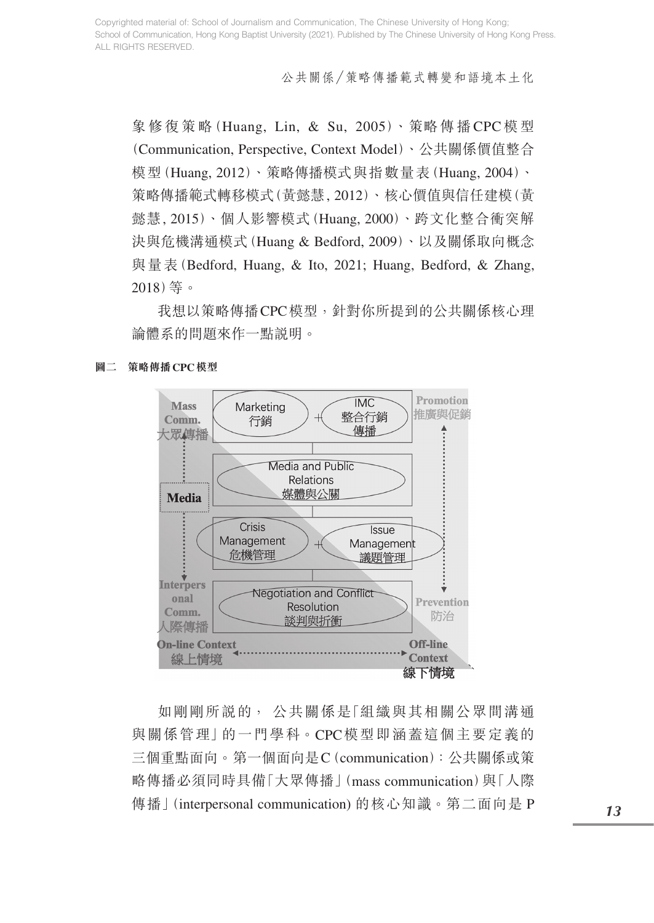公共關係/策略傳播範式轉變和語境本土化

象修復策略(Huang, Lin, & Su, 2005)、策略傳播CPC模型 (Communication, Perspective, Context Model)、公共關係價值整合 模型(Huang, 2012)、策略傳播模式與指數量表(Huang, 2004)、 策略傳播範式轉移模式(黃懿慧, 2012)、核心價值與信任建模(黃 懿慧, 2015)、個人影響模式(Huang, 2000)、跨文化整合衝突解 決與危機溝通模式(Huang & Bedford, 2009)、以及關係取向概念 與量表(Bedford, Huang, & Ito, 2021; Huang, Bedford, & Zhang, 2018)等。

 我想以策略傳播CPC模型,針對你所提到的公共關係核心理 論體系的問題來作一點說明。



**圖二 策略傳播CPC模型**

 如剛剛所說的, 公共關係是「組織與其相關公眾間溝通 與關係管理」的一門學科。CPC模型即涵蓋這個主要定義的 三個重點面向。第一個面向是C(communication):公共關係或策 略傳播必須同時具備「大眾傳播」(mass communication)與「人際 傳播」(interpersonal communication) 的核心知識。第二面向是 P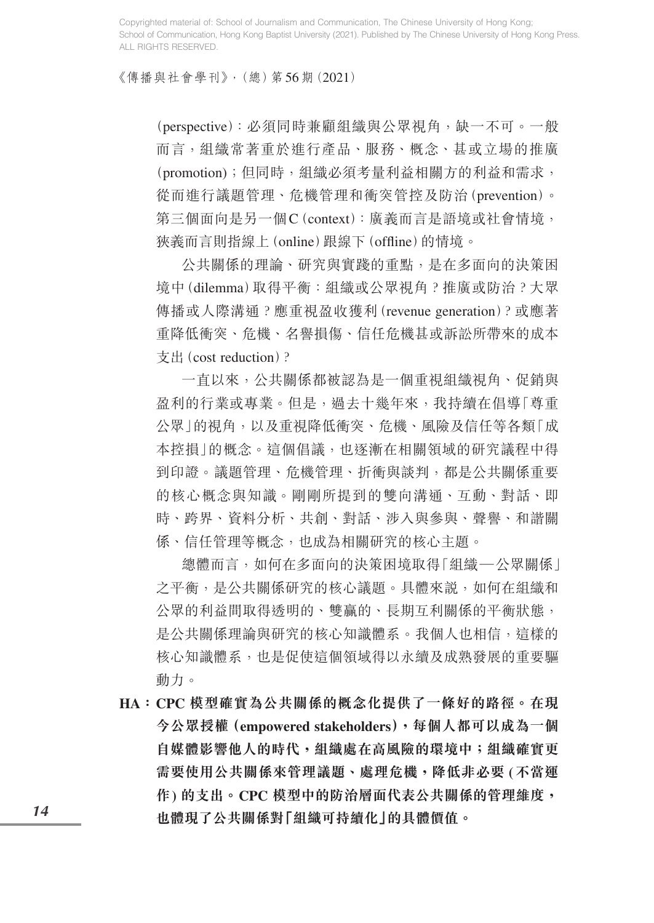《傳播與社會學刊》,(總)第56期(2021)

(perspective):必須同時兼顧組織與公眾視角,缺一不可。一般 而言,組織常著重於進行產品、服務、概念、甚或立場的推廣 (promotion);但同時, 組織必須考量利益相關方的利益和需求, 從而進行議題管理、危機管理和衝突管控及防治(prevention)。 第三個面向是另一個C(context):廣義而言是語境或社會情境, 狹義而言則指線上(online)跟線下(offline)的情境。

 公共關係的理論、研究與實踐的重點,是在多面向的決策困 境中(dilemma)取得平衡:組織或公眾視角?推廣或防治?大眾 傳播或人際溝通?應重視盈收獲利(revenue generation)?或應著 重降低衝突、危機、名譽損傷、信任危機甚或訴訟所帶來的成本 支出(cost reduction)?

 一直以來,公共關係都被認為是一個重視組織視角、促銷與 盈利的行業或專業。但是,過去十幾年來,我持續在倡導「尊重 公眾」的視角,以及重視降低衝突、危機、風險及信任等各類「成 本控損」的概念。這個倡議,也逐漸在相關領域的研究議程中得 到印證。議題管理、危機管理、折衝與談判,都是公共關係重要 的核心概念與知識。剛剛所提到的雙向溝通、互動、對話、即 時、跨界、資料分析、共創、對話、涉入與參與、聲譽、和諧關 係、信任管理等概念,也成為相關研究的核心主題。

 總體而言,如何在多面向的決策困境取得「組織—公眾關係」 之平衡,是公共關係研究的核心議題。具體來説,如何在組織和 公眾的利益間取得透明的、雙贏的、長期互利關係的平衡狀態, 是公共關係理論與研究的核心知識體系。我個人也相信, 這樣的 核心知識體系,也是促使這個領域得以永續及成熟發展的重要驅 動力。

**HA: CPC 模型確實為公共關係的概念化提供了一條好的路徑。在現 今公眾授權(empowered stakeholders),每個人都可以成為一個 自媒體影響他人的時代,組織處在高風險的環境中;組織確實更 需要使用公共關係來管理議題、處理危機,降低非必要 (不當運 作) 的支出。CPC 模型中的防治層面代表公共關係的管理維度, 也體現了公共關係對「組織可持續化」的具體價值。**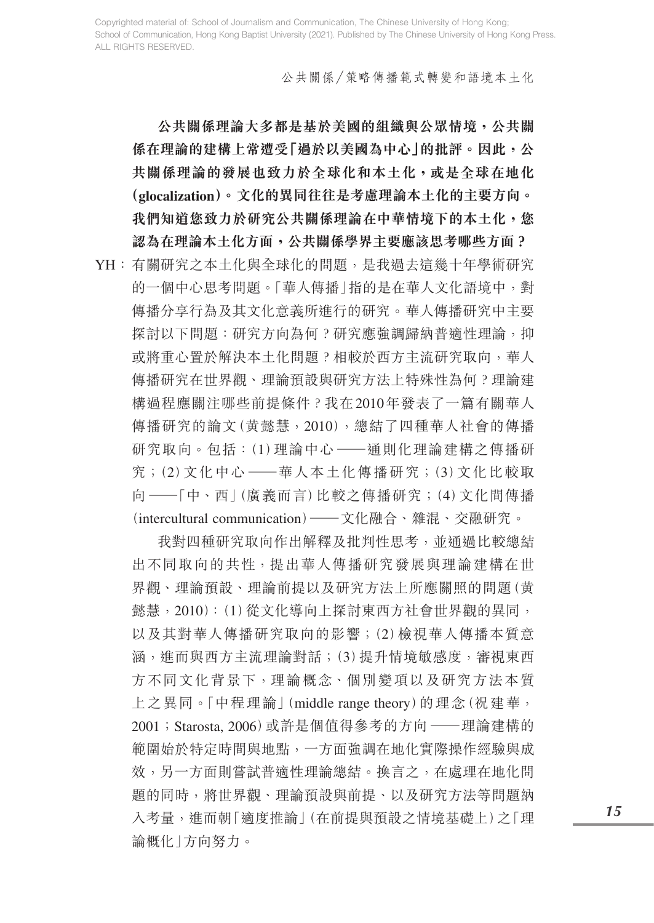公共關係/策略傳播範式轉變和語境本土化

 **公共關係理論大多都是基於美國的組織與公眾情境,公共關 係在理論的建構上常遭受「過於以美國為中心」的批評。因此,公 共關係理論的發展也致力於全球化和本土化,或是全球在地化 (glocalization)。文化的異同往往是考慮理論本土化的主要方向。 我們知道您致力於研究公共關係理論在中華情境下的本土化,您 認為在理論本土化方面,公共關係學界主要應該思考哪些方面?**

YH:有關研究之本土化與全球化的問題,是我過去這幾十年學術研究 的一個中心思考問題。「華人傳播」指的是在華人文化語境中,對 傳播分享行為及其文化意義所進行的研究。華人傳播研究中主要 探討以下問題:研究方向為何?研究應強調歸納普適性理論,抑 或將重心置於解決本土化問題?相較於西方主流研究取向,華人 傳播研究在世界觀、理論預設與研究方法上特殊性為何?理論建 構過程應關注哪些前提條件?我在2010年發表了一篇有關華人 傳播研究的論文(黄懿慧,2010),總結了四種華人社會的傳播 研究取向。包括: (1) 理論中心 ——通則化理論建構之傳播研 究;(2)文化中心 ——華人本土化傳播研究;(3)文化比較取 <sup>向</sup> —「中、西」(廣義而言)比較之傳播研究;(<sup>4</sup>)文化間傳播 (intercultural communication)—文化融合、雜混、交融研究。

 我對四種研究取向作出解釋及批判性思考,並通過比較總結 出不同取向的共性,提出華人傳播研究發展與理論建構在世 界觀、理論預設、理論前提以及研究方法上所應關照的問題(黄 懿慧,2010):(1)從文化導向上探討東西方社會世界觀的異同, 以及其對華人傳播研究取向的影響;(2)檢視華人傳播本質意 涵,進而與西方主流理論對話;(3)提升情境敏感度,審視東西 方不同文化背景下,理論概念、個別變項以及研究方法本質 上之異同。「中程理論」(middle range theory)的理念(祝建華, <sup>2001</sup>;Starosta, 2006)或許是個值得參考的方向 —理論建構的 範圍始於特定時間與地點,一方面強調在地化實際操作經驗與成 效,另一方面則嘗試普滴性理論總結。換言之,在處理在地化問 題的同時,將世界觀、理論預設與前提、以及研究方法等問題納 入考量, 進而朝「滴度推論」(在前提與預設之情境基礎上)之「理 論概化」方向努力。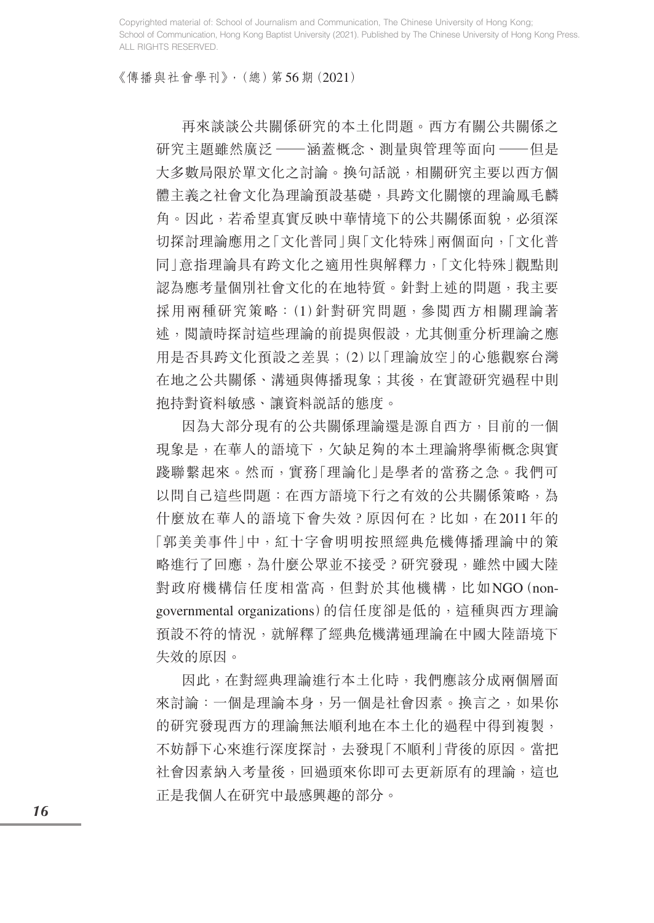《傳播與社會學刊》,(總)第56期(2021)

 再來談談公共關係研究的本土化問題。西方有關公共關係之 研究主題雖然廣泛––涵蓋概念、測量與管理等面向––但是 大多數局限於單文化之討論。換句話說,相關研究主要以西方個 體主義之社會文化為理論預設基礎,具跨文化關懷的理論鳳毛麟 角。因此,若希望真實反映中華情境下的公共關係面貌,必須深 切探討理論應用之「文化普同」與「文化特殊」兩個面向,「文化普 同」意指理論具有跨文化之適用性與解釋力,「文化特殊」觀點則 認為應考量個別社會文化的在地特質。針對上述的問題,我主要 採用兩種研究策略:(1)針對研究問題,參閱西方相關理論著 述,閱讀時探討這些理論的前提與假設,尤其側重分析理論之應 用是否具跨文化預設之差異;(2)以「理論放空」的心態觀察台灣 在地之公共關係、溝通與傳播現象;其後,在實證研究過程中則 抱持對資料敏感、讓資料說話的態度。

 因為大部分現有的公共關係理論還是源自西方,目前的一個 現象是,在華人的語境下,欠缺足夠的本土理論將學術概念與實 踐聯繫起來。然而,實務「理論化」是學者的當務之急。我們可 以問自己這些問題: 在西方語境下行之有效的公共關係策略,為 什麼放在華人的語境下會失效?原因何在?比如,在2011年的 「郭美美事件」中,紅十字會明明按照經典危機傳播理論中的策 略進行了回應,為什麼公眾並不接受?研究發現,雖然中國大陸 對政府機構信任度相當高,但對於其他機構,比如NGO(nongovernmental organizations)的信任度卻是低的,這種與西方理論 預設不符的情況,就解釋了經典危機溝通理論在中國大陸語境下 失效的原因。

 因此,在對經典理論進行本土化時,我們應該分成兩個層面 來討論:一個是理論本身,另一個是社會因素。換言之,如果你 的研究發現西方的理論無法順利地在本土化的過程中得到複製, 不妨靜下心來進行深度探討,去發現「不順利」背後的原因。當把 社會因素納入考量後,回過頭來你即可去更新原有的理論,這也 正是我個人在研究中最感興趣的部分。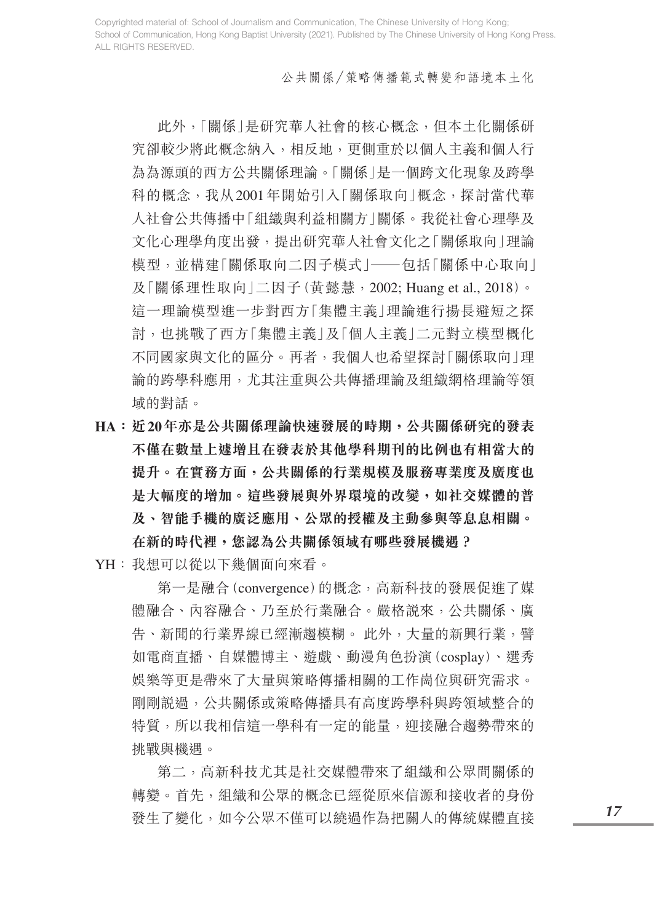#### 公共關係/策略傳播範式轉變和語境本土化

 此外,「關係」是研究華人社會的核心概念,但本土化關係研 究卻較少將此概念納入,相反地,更側重於以個人主義和個人行 為為源頭的西方公共關係理論。「關係」是一個跨文化現象及跨學 科的概念,我从2001年開始引入「關係取向」概念,探討當代華 人社會公共傳播中「組織與利益相關方」關係。我從社會心理學及 文化心理學角度出發,提出研究華人社會文化之「關係取向」理論 模型,並構建「關係取向二因子模式」——包括「關係中心取向」 及「關係理性取向」二因子(黃懿慧,2002; Huang et al., 2018)。 這一理論模型進一步對西方「集體主義」理論進行揚長避短之探 討,也挑戰了西方「集體主義」及「個人主義」二元對立模型概化 不同國家與文化的區分。再者,我個人也希望探討「關係取向」理 論的跨學科應用,尤其注重與公共傳播理論及組織網格理論等領 域的對話。

- **HA:近20年亦是公共關係理論快速發展的時期,公共關係研究的發表 不僅在數量上遽增且在發表於其他學科期刊的比例也有相當大的 提升。在實務方面,公共關係的行業規模及服務專業度及廣度也 是大幅度的增加。這些發展與外界環境的改變,如社交媒體的普 及、智能手機的廣泛應用、公眾的授權及主動參與等息息相關。 在新的時代裡,您認為公共關係領域有哪些發展機遇?**
- YH:我想可以從以下幾個面向來看。

 第一是融合(convergence)的概念,高新科技的發展促進了媒 體融合、內容融合、乃至於行業融合。嚴格說來,公共關係、廣 告、新聞的行業界線已經漸趨模糊。 此外,大量的新興行業,譬 如電商直播、自媒體博主、遊戲、動漫角色扮演(cosplay)、選秀 娛樂等更是帶來了大量與策略傳播相關的工作崗位與研究需求。 剛剛說過,公共關係或策略傳播具有高度跨學科與跨領域整合的 特質,所以我相信這一學科有一定的能量,迎接融合趨勢帶來的 挑戰與機遇。

 第二,高新科技尤其是社交媒體帶來了組織和公眾間關係的 轉變。首先,組織和公眾的概念已經從原來信源和接收者的身份 發生了變化,如今公眾不僅可以繞過作為把關人的傳統媒體直接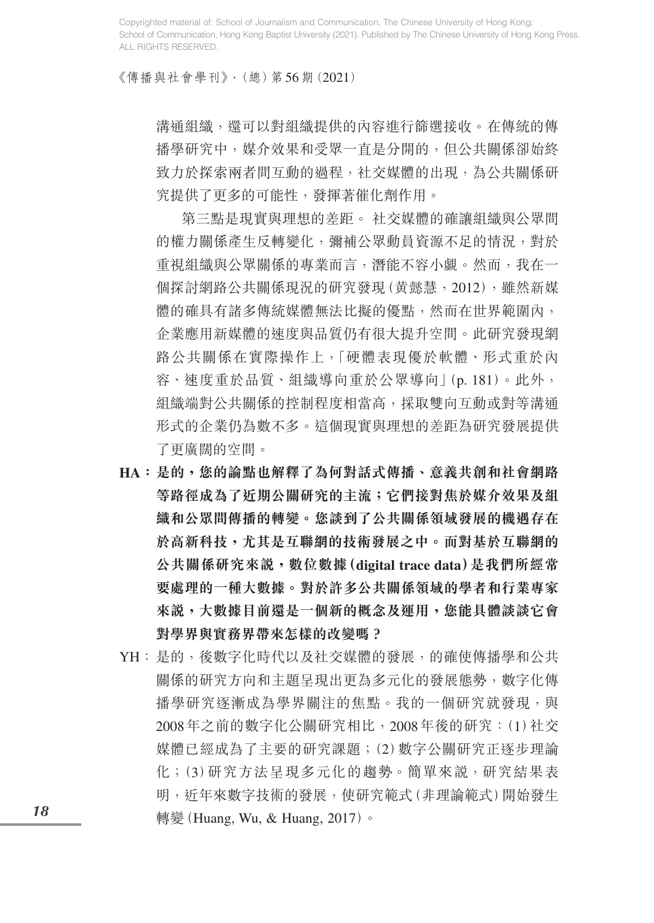《傳播與社會學刊》,(總)第56期(2021)

溝通組織,還可以對組織提供的內容進行篩選接收。在傳統的傳 播學研究中,媒介效果和受眾一直是分開的,但公共關係卻始終 致力於探索兩者間互動的過程,社交媒體的出現,為公共關係研 究提供了更多的可能性,發揮著催化劑作用。

 第三點是現實與理想的差距。 社交媒體的確讓組織與公眾間 的權力關係產生反轉變化,彌補公眾動員資源不足的情況,對於 重視組織與公眾關係的專業而言,潛能不容小覷。然而,我在一 個探討網路公共關係現況的研究發現(黄懿慧,2012),雖然新媒 體的確具有諸多傳統媒體無法比擬的優點,然而在世界範圍內, 企業應用新媒體的速度與品質仍有很大提升空間。此研究發現網 路公共關係在實際操作上,「硬體表現優於軟體、形式重於內 容、速度重於品質、組織導向重於公眾導向」(p. 181)。此外, 組織端對公共關係的控制程度相當高,採取雙向互動或對等溝通 形式的企業仍為數不多。這個現實與理想的差距為研究發展提供 了更廣闊的空間。

- **HA:是的,您的論點也解釋了為何對話式傳播、意義共創和社會網路 等路徑成為了近期公關研究的主流;它們接對焦於媒介效果及組 織和公眾間傳播的轉變。您談到了公共關係領域發展的機遇存在 於高新科技,尤其是互聯網的技術發展之中。而對基於互聯網的 公共關係研究來說,數位數據(digital trace data)是我們所經常 要處理的一種大數據。對於許多公共關係領域的學者和行業專家 來說,大數據目前還是一個新的概念及運用,您能具體談談它會 對學界與實務界帶來怎樣的改變嗎?**
- YH: 是的, 後數字化時代以及社交媒體的發展, 的確使傳播學和公共 關係的研究方向和主題呈現出更為多元化的發展態勢,數字化傳 播學研究逐漸成為學界關注的焦點。我的一個研究就發現,與 2008年之前的數字化公關研究相比,2008年後的研究:(1)社交 媒體已經成為了主要的研究課題;(2)數字公關研究正逐步理論 化;(3)研究方法呈現多元化的趨勢。簡單來說,研究結果表 明,近年來數字技術的發展,使研究範式(非理論範式)開始發生 轉變 (Huang, Wu, & Huang, 2017)。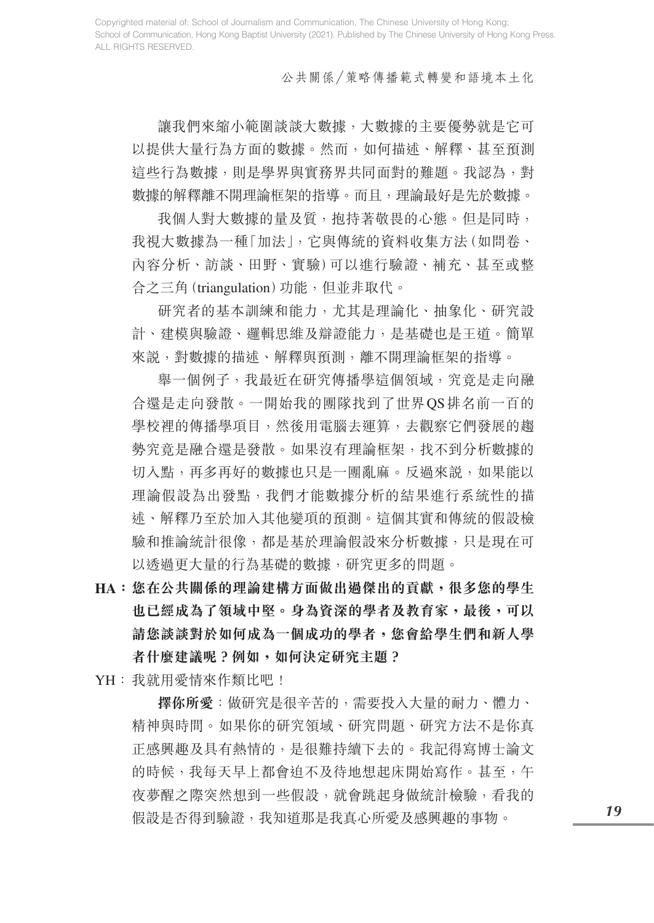公共關係/策略傳播範式轉變和語境本土化

讓我們來縮小範圍談談大數據,大數據的主要優勢就是它可 以提供大量行為方面的數據。然而,如何描述、解釋、甚至預測 這些行為數據,則是學界與實務界共同面對的難題。我認為,對 數據的解釋離不開理論框架的指導。而且,理論最好是先於數據。

我個人對大數據的量及質,抱持著敬畏的心態。但是同時, 我視大數據為一種「加法」,它與傳統的資料收集方法(如問卷、 內容分析、訪談、田野、實驗)可以進行驗證、補充、甚至或整 合之三角(triangulation)功能,但並非取代。

 研究者的基本訓練和能力,尤其是理論化、抽象化、研究設 計、建模與驗證、邏輯思維及辯證能力,是基礎也是王道。簡單 來說,對數據的描述、解釋與預測,離不開理論框架的指導。

 舉一個例子,我最近在研究傳播學這個領域,究竟是走向融 合還是走向發散。一開始我的團隊找到了世界QS排名前一百的 學校裡的傳播學項目,然後用電腦去運算,去觀察它們發展的趨 勢究竟是融合還是發散。如果沒有理論框架,找不到分析數據的 切入點,再多再好的數據也只是一團亂麻。反過來說,如果能以 理論假設為出發點,我們才能數據分析的結果進行系統性的描 述、解釋乃至於加入其他變項的預測。這個其實和傳統的假設檢 驗和推論統計很像,都是基於理論假設來分析數據,只是現在可 以透過更大量的行為基礎的數據,研究更多的問題。

- **HA:您在公共關係的理論建構方面做出過傑出的貢獻,很多您的學生 也已經成為了領域中堅。身為資深的學者及教育家,最後,可以 請您談談對於如何成為一個成功的學者,您會給學生們和新人學 者什麼建議呢?例如,如何決定研究主題?**
- YH:我就用愛情來作類比吧!

 **擇你所愛**:做研究是很辛苦的,需要投入大量的耐力、體力、 精神與時間。如果你的研究領域、研究問題、研究方法不是你真 正感興趣及具有熱情的,是很難持續下去的。我記得寫博士論文 的時候,我每天早上都會迫不及待地想起床開始寫作。甚至,午 夜夢醒之際突然想到一些假設,就會跳起身做統計檢驗,看我的 假設是否得到驗證,我知道那是我真心所愛及感興趣的事物。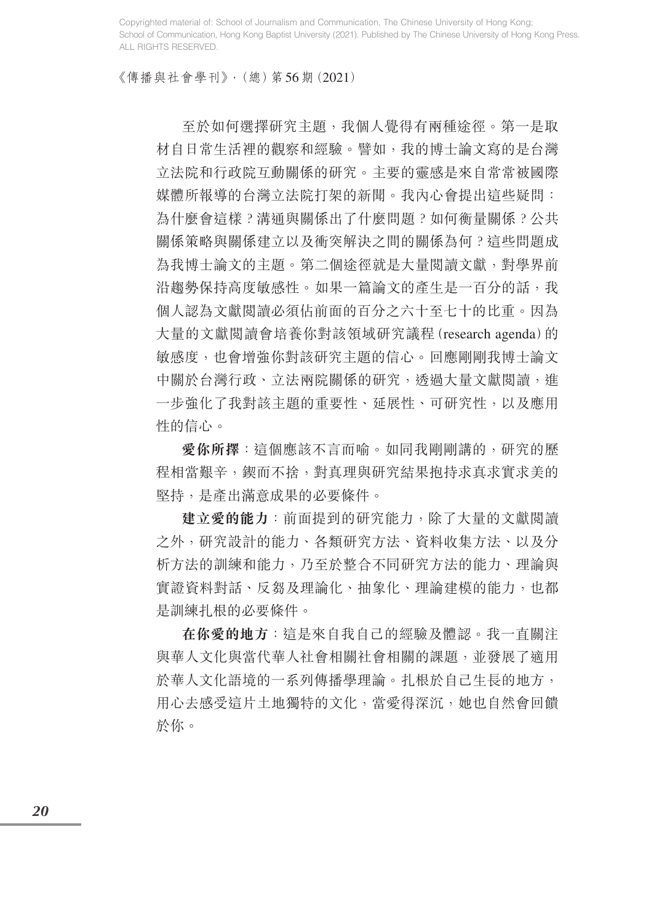《傳播與社會學刊》,(總)第56期(2021)

 至於如何選擇研究主題,我個人覺得有兩種途徑。第一是取 材自日常生活裡的觀察和經驗。譬如,我的博士論文寫的是台灣 立法院和行政院互動關係的研究。主要的靈感是來自常常被國際 媒體所報導的台灣立法院打架的新聞。我內心會提出這些疑問: 為什麼會這樣?溝通與關係出了什麼問題?如何衡量關係?公共 關係策略與關係建立以及衝突解決之間的關係為何?這些問題成 為我博士論文的主題。第二個途徑就是大量閱讀文獻,對學界前 沿趨勢保持高度敏感性。如果一篇論文的產生是一百分的話,我 個人認為文獻閱讀必須佔前面的百分之六十至七十的比重。因為 大量的文獻閱讀會培養你對該領域研究議程(research agenda)的 敏感度,也會增強你對該研究主題的信心。回應剛剛我博士論文 中關於台灣行政、立法兩院關係的研究, 透過大量文獻閱讀, 谁 一步強化了我對該主題的重要性、延展性、可研究性,以及應用 性的信心。

 **愛你所擇**:這個應該不言而喻。如同我剛剛講的,研究的歷 程相當艱辛,鍥而不捨,對真理與研究結果抱持求真求實求美的 堅持,是產出滿意成果的必要條件。

 **建立愛的能力**:前面提到的研究能力,除了大量的文獻閱讀 之外,研究設計的能力、各類研究方法、資料收集方法、以及分 析方法的訓練和能力,乃至於整合不同研究方法的能力、理論與 實證資料對話、反芻及理論化、抽象化、理論建模的能力,也都 是訓練扎根的必要條件。

 **在你愛的地方**:這是來自我自己的經驗及體認。我一直關注 與華人文化與當代華人社會相關社會相關的課題,並發展了適用 於華人文化語境的一系列傳播學理論。扎根於自己生長的地方, 用心去感受這片土地獨特的文化,當愛得深沉,她也自然會回饋 於你。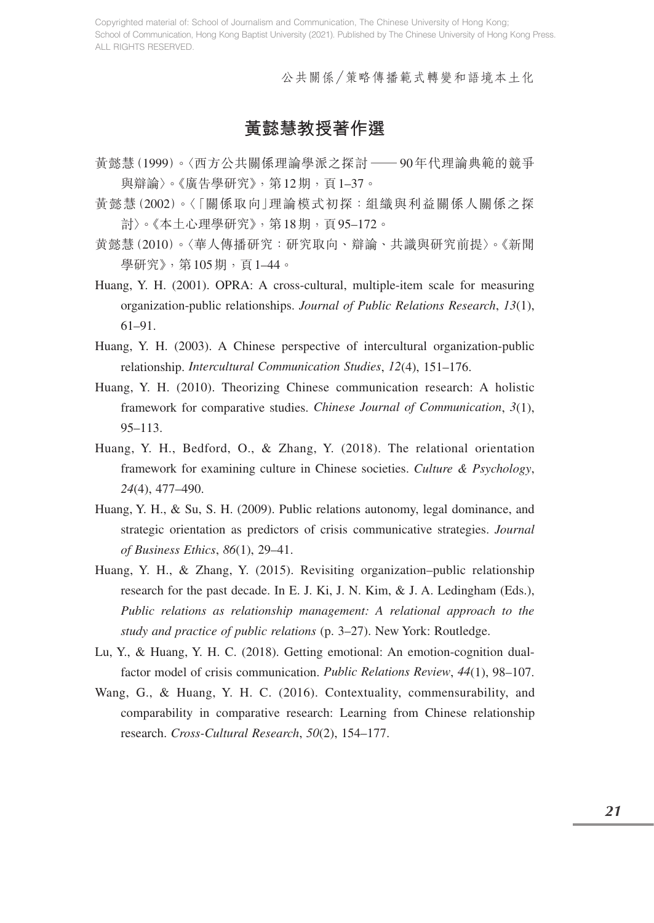公共關係/策略傳播範式轉變和語境本土化

### **黃懿慧教授著作選**

- 黃懿慧(1999)。〈西方公共關係理論學派之探討 —<sup>90</sup>年代理論典範的競爭 與辯論〉。《廣告學研究》,第12期,頁1-37。
- 黃懿慧(2002)。〈「關係取向」理論模式初探:組織與利益關係人關係之探 討〉。《本土心理學研究》,第18期,頁95–172。
- 黄懿慧(2010)。〈華人傳播研究:研究取向、辯論、共識與研究前提〉。《新聞 學研究》,第105期,頁1–44。
- Huang, Y. H. (2001). OPRA: A cross-cultural, multiple-item scale for measuring organization-public relationships. *Journal of Public Relations Research*, *13*(1), 61–91.
- Huang, Y. H. (2003). A Chinese perspective of intercultural organization-public relationship. *Intercultural Communication Studies*, *12*(4), 151–176.
- Huang, Y. H. (2010). Theorizing Chinese communication research: A holistic framework for comparative studies. *Chinese Journal of Communication*, *3*(1), 95–113.
- Huang, Y. H., Bedford, O., & Zhang, Y. (2018). The relational orientation framework for examining culture in Chinese societies. *Culture & Psychology*, *24*(4), 477–490.
- Huang, Y. H., & Su, S. H. (2009). Public relations autonomy, legal dominance, and strategic orientation as predictors of crisis communicative strategies. *Journal of Business Ethics*, *86*(1), 29–41.
- Huang, Y. H., & Zhang, Y. (2015). Revisiting organization–public relationship research for the past decade. In E. J. Ki, J. N. Kim, & J. A. Ledingham (Eds.), *Public relations as relationship management: A relational approach to the study and practice of public relations* (p. 3–27). New York: Routledge.
- Lu, Y., & Huang, Y. H. C. (2018). Getting emotional: An emotion-cognition dualfactor model of crisis communication. *Public Relations Review*, *44*(1), 98–107.
- Wang, G., & Huang, Y. H. C. (2016). Contextuality, commensurability, and comparability in comparative research: Learning from Chinese relationship research. *Cross-Cultural Research*, *50*(2), 154–177.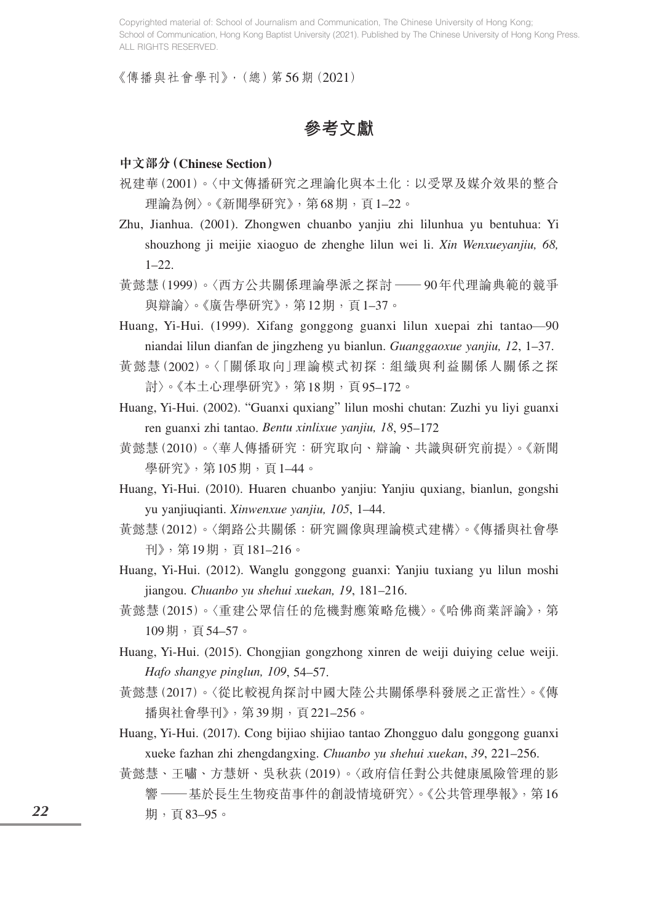《傳播與社會學刊》,(總)第56期(2021)

**參考文獻**

#### **中文部分(Chinese Section)**

- 祝建華(2001)。〈中文傳播研究之理論化與本土化:以受眾及媒介效果的整合 理論為例〉。《新聞學研究》,第68期,頁1-22。
- Zhu, Jianhua. (2001). Zhongwen chuanbo yanjiu zhi lilunhua yu bentuhua: Yi shouzhong ji meijie xiaoguo de zhenghe lilun wei li. *Xin Wenxueyanjiu, 68,* 1–22.
- 黃懿慧(1999)。〈西方公共關係理論學派之探討 —<sup>90</sup>年代理論典範的競爭 與辯論〉。《廣告學研究》,第12期,百1-37。
- Huang, Yi-Hui. (1999). Xifang gonggong guanxi lilun xuepai zhi tantao—90 niandai lilun dianfan de jingzheng yu bianlun. *Guanggaoxue yanjiu, 12*, 1–37.
- 黃懿慧(2002)。〈「關係取向」理論模式初探:組織與利益關係人關係之探 討〉。《本土心理學研究》,第18期,頁95–172。
- Huang, Yi-Hui. (2002). "Guanxi quxiang" lilun moshi chutan: Zuzhi yu liyi guanxi ren guanxi zhi tantao. *Bentu xinlixue yanjiu, 18*, 95–172
- 黄懿慧(2010)。〈華人傳播研究:研究取向、辯論、共識與研究前提〉。《新聞 學研究》,第105期,頁1-44。
- Huang, Yi-Hui. (2010). Huaren chuanbo yanjiu: Yanjiu quxiang, bianlun, gongshi yu yanjiuqianti. *Xinwenxue yanjiu, 105*, 1–44.
- 黃懿慧(2012)。〈網路公共關係:研究圖像與理論模式建構〉。《傳播與社會學 刊》,第19期,頁181–216。
- Huang, Yi-Hui. (2012). Wanglu gonggong guanxi: Yanjiu tuxiang yu lilun moshi jiangou. *Chuanbo yu shehui xuekan, 19*, 181–216.
- 黃懿慧(2015)。〈重建公眾信任的危機對應策略危機〉。《哈佛商業評論》,第 109期,頁54–57。
- Huang, Yi-Hui. (2015). Chongjian gongzhong xinren de weiji duiying celue weiji. *Hafo shangye pinglun, 109*, 54–57.
- 黃懿慧(2017)。〈從比較視角探討中國大陸公共關係學科發展之正當性〉。《傳 播與社會學刊》,第39期,頁221–256。
- Huang, Yi-Hui. (2017). Cong bijiao shijiao tantao Zhongguo dalu gonggong guanxi xueke fazhan zhi zhengdangxing. *Chuanbo yu shehui xuekan*, *39*, 221–256.
- 黃懿慧、王嘯、方慧妍、吳秋荻(2019)。〈政府信任對公共健康風險管理的影 響 —— 基於長生生物疫苗事件的創設情境研究〉。《公共管理學報》, 第16 期,頁83–95。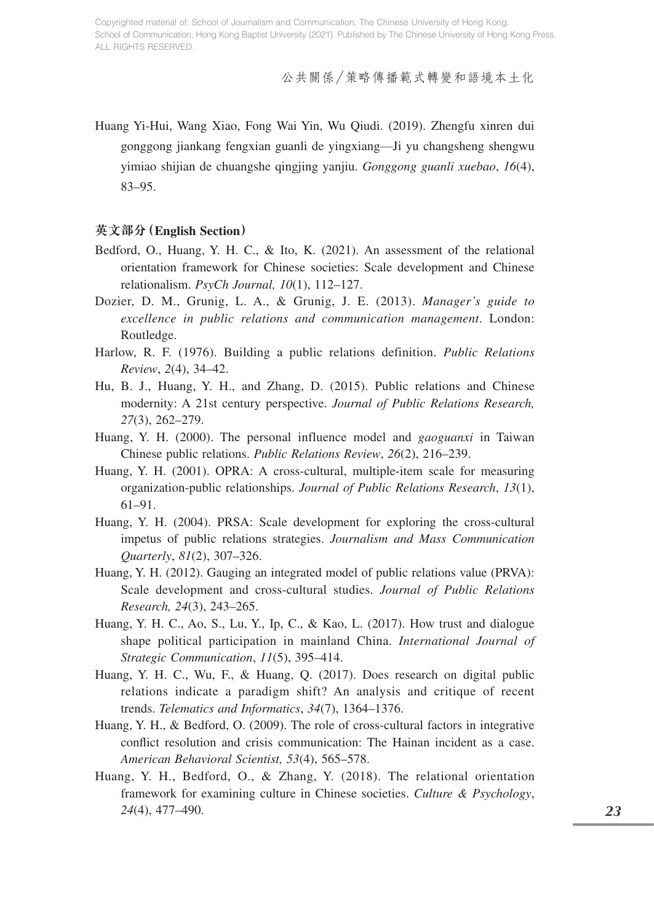公共關係/策略傳播範式轉變和語境本土化

Huang Yi-Hui, Wang Xiao, Fong Wai Yin, Wu Qiudi. (2019). Zhengfu xinren dui gonggong jiankang fengxian guanli de yingxiang—Ji yu changsheng shengwu yimiao shijian de chuangshe qingjing yanjiu. *Gonggong guanli xuebao*, *16*(4), 83–95.

#### **英文部分(English Section)**

- Bedford, O., Huang, Y. H. C., & Ito, K. (2021). An assessment of the relational orientation framework for Chinese societies: Scale development and Chinese relationalism. *PsyCh Journal, 10*(1), 112–127.
- Dozier, D. M., Grunig, L. A., & Grunig, J. E. (2013). *Manager's guide to excellence in public relations and communication management*. London: Routledge.
- Harlow, R. F. (1976). Building a public relations definition. *Public Relations Review*, *2*(4), 34–42.
- Hu, B. J., Huang, Y. H., and Zhang, D. (2015). Public relations and Chinese modernity: A 21st century perspective. *Journal of Public Relations Research, 27*(3), 262–279.
- Huang, Y. H. (2000). The personal influence model and *gaoguanxi* in Taiwan Chinese public relations. *Public Relations Review*, *26*(2), 216–239.
- Huang, Y. H. (2001). OPRA: A cross-cultural, multiple-item scale for measuring organization-public relationships. *Journal of Public Relations Research*, *13*(1), 61–91.
- Huang, Y. H. (2004). PRSA: Scale development for exploring the cross-cultural impetus of public relations strategies. *Journalism and Mass Communication Quarterly*, *81*(2), 307–326.
- Huang, Y. H. (2012). Gauging an integrated model of public relations value (PRVA): Scale development and cross-cultural studies. *Journal of Public Relations Research, 24*(3), 243–265.
- Huang, Y. H. C., Ao, S., Lu, Y., Ip, C., & Kao, L. (2017). How trust and dialogue shape political participation in mainland China. *International Journal of Strategic Communication*, *11*(5), 395–414.
- Huang, Y. H. C., Wu, F., & Huang, Q. (2017). Does research on digital public relations indicate a paradigm shift? An analysis and critique of recent trends. *Telematics and Informatics*, *34*(7), 1364–1376.
- Huang, Y. H., & Bedford, O. (2009). The role of cross-cultural factors in integrative conflict resolution and crisis communication: The Hainan incident as a case. *American Behavioral Scientist, 53*(4), 565–578.
- Huang, Y. H., Bedford, O., & Zhang, Y. (2018). The relational orientation framework for examining culture in Chinese societies. *Culture & Psychology*, *24*(4), 477–490.